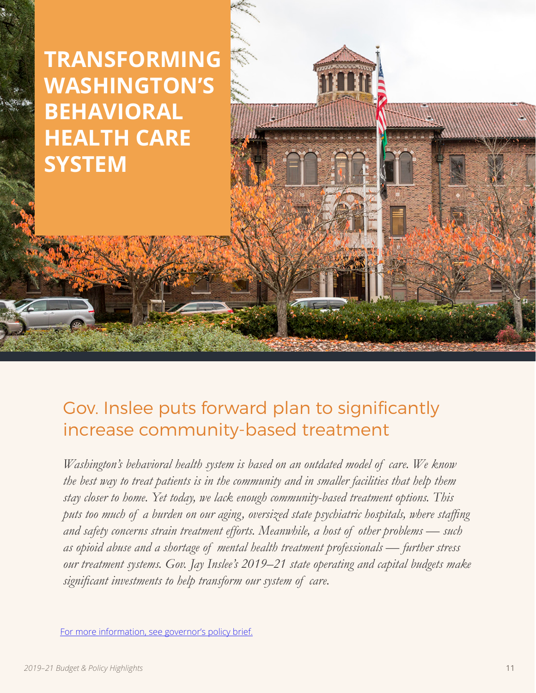## **TRANSFORMING WASHINGTON'S BEHAVIORAL HEALTH CARE SYSTEM**

## Gov. Inslee puts forward plan to significantly increase community-based treatment

*Washington's behavioral health system is based on an outdated model of care. We know the best way to treat patients is in the community and in smaller facilities that help them stay closer to home. Yet today, we lack enough community-based treatment options. This puts too much of a burden on our aging, oversized state psychiatric hospitals, where staffing and safety concerns strain treatment efforts. Meanwhile, a host of other problems — such as opioid abuse and a shortage of mental health treatment professionals — further stress our treatment systems. Gov. Jay Inslee's 2019–21 state operating and capital budgets make significant investments to help transform our system of care.* 

[For more information, see governor's policy brief.](https://ofm.wa.gov/sites/default/files/public/budget/statebudget/highlights/budget19/Behavioral_Health_policyBrief.pdf)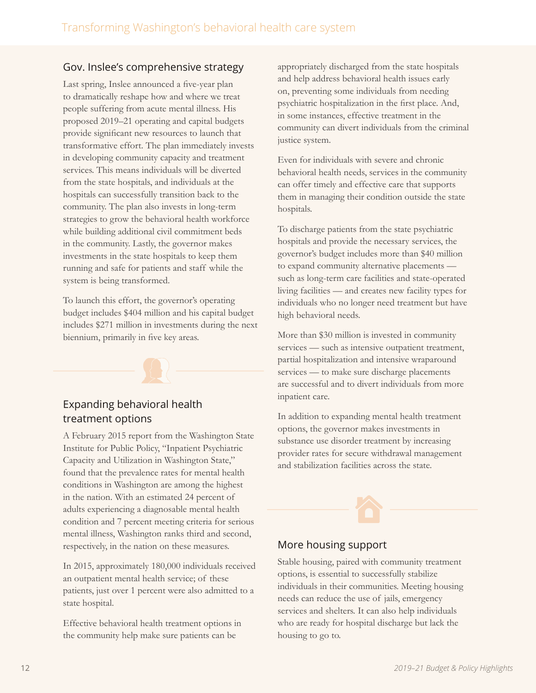## Gov. Inslee's comprehensive strategy

Last spring, Inslee announced a five-year plan to dramatically reshape how and where we treat people suffering from acute mental illness. His proposed 2019–21 operating and capital budgets provide significant new resources to launch that transformative effort. The plan immediately invests in developing community capacity and treatment services. This means individuals will be diverted from the state hospitals, and individuals at the hospitals can successfully transition back to the community. The plan also invests in long-term strategies to grow the behavioral health workforce while building additional civil commitment beds in the community. Lastly, the governor makes investments in the state hospitals to keep them running and safe for patients and staff while the system is being transformed.

To launch this effort, the governor's operating budget includes \$404 million and his capital budget includes \$271 million in investments during the next biennium, primarily in five key areas.

# Expanding behavioral health

treatment options

A February 2015 report from the Washington State Institute for Public Policy, "Inpatient Psychiatric Capacity and Utilization in Washington State," found that the prevalence rates for mental health conditions in Washington are among the highest in the nation. With an estimated 24 percent of adults experiencing a diagnosable mental health condition and 7 percent meeting criteria for serious mental illness, Washington ranks third and second, respectively, in the nation on these measures.

In 2015, approximately 180,000 individuals received an outpatient mental health service; of these patients, just over 1 percent were also admitted to a state hospital.

Effective behavioral health treatment options in the community help make sure patients can be

appropriately discharged from the state hospitals and help address behavioral health issues early on, preventing some individuals from needing psychiatric hospitalization in the first place. And, in some instances, effective treatment in the community can divert individuals from the criminal justice system.

Even for individuals with severe and chronic behavioral health needs, services in the community can offer timely and effective care that supports them in managing their condition outside the state hospitals.

To discharge patients from the state psychiatric hospitals and provide the necessary services, the governor's budget includes more than \$40 million to expand community alternative placements such as long-term care facilities and state-operated living facilities — and creates new facility types for individuals who no longer need treatment but have high behavioral needs.

More than \$30 million is invested in community services — such as intensive outpatient treatment, partial hospitalization and intensive wraparound services — to make sure discharge placements are successful and to divert individuals from more inpatient care.

In addition to expanding mental health treatment options, the governor makes investments in substance use disorder treatment by increasing provider rates for secure withdrawal management and stabilization facilities across the state.

## More housing support

Stable housing, paired with community treatment options, is essential to successfully stabilize individuals in their communities. Meeting housing needs can reduce the use of jails, emergency services and shelters. It can also help individuals who are ready for hospital discharge but lack the housing to go to.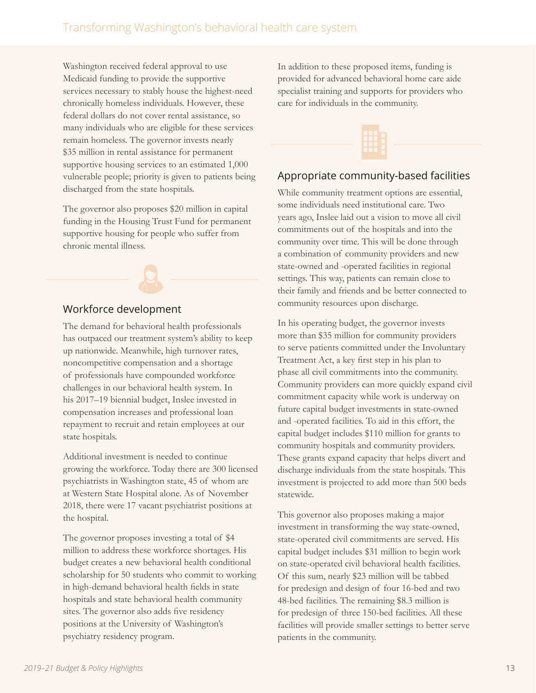Washington received federal approval to use Medicaid funding to provide the supportive services necessary to stably house the highest-need chronically homeless individuals. However, these federal dollars do not cover rental assistance, so many individuals who are eligible for these services remain homeless. The governor invests nearly \$35 million in rental assistance for permanent supportive housing services to an estimated 1,000 vulnerable people; priority is given to patients being discharged from the state hospitals.

The governor also proposes \$20 million in capital funding in the Housing Trust Fund for permanent supportive housing for people who suffer from chronic mental illness.

### Workforce development

The demand for behavioral health professionals has outpaced our treatment system's ability to keep up nationwide. Meanwhile, high turnover rates, noncompetitive compensation and a shortage of professionals have compounded workforce challenges in our behavioral health system. In his 2017–19 biennial budget, Inslee invested in compensation increases and professional loan repayment to recruit and retain employees at our state hospitals.

Additional investment is needed to continue growing the workforce. Today there are 300 licensed psychiatrists in Washington state, 45 of whom are at Western State Hospital alone. As of November 2018, there were 17 vacant psychiatrist positions at the hospital.

The governor proposes investing a total of \$4 million to address these workforce shortages. His budget creates a new behavioral health conditional scholarship for 50 students who commit to working in high-demand behavioral health fields in state hospitals and state behavioral health community sites. The governor also adds five residency positions at the University of Washington's psychiatry residency program.

In addition to these proposed items, funding is provided for advanced behavioral home care aide specialist training and supports for providers who care for individuals in the community.



### Appropriate community-based facilities

While community treatment options are essential, some individuals need institutional care. Two years ago, Inslee laid out a vision to move all civil commitments out of the hospitals and into the community over time. This will be done through a combination of community providers and new state-owned and -operated facilities in regional settings. This way, patients can remain close to their family and friends and be better connected to community resources upon discharge.

In his operating budget, the governor invests more than \$35 million for community providers to serve patients committed under the Involuntary Treatment Act, a key first step in his plan to phase all civil commitments into the community. Community providers can more quickly expand civil commitment capacity while work is underway on future capital budget investments in state-owned and -operated facilities. To aid in this effort, the capital budget includes \$110 million for grants to community hospitals and community providers. These grants expand capacity that helps divert and discharge individuals from the state hospitals. This investment is projected to add more than 500 beds statewide.

This governor also proposes making a major investment in transforming the way state-owned, state-operated civil commitments are served. His capital budget includes \$31 million to begin work on state-operated civil behavioral health facilities. Of this sum, nearly \$23 million will be tabbed for predesign and design of four 16-bed and two 48-bed facilities. The remaining \$8.3 million is for predesign of three 150-bed facilities. All these facilities will provide smaller settings to better serve patients in the community.